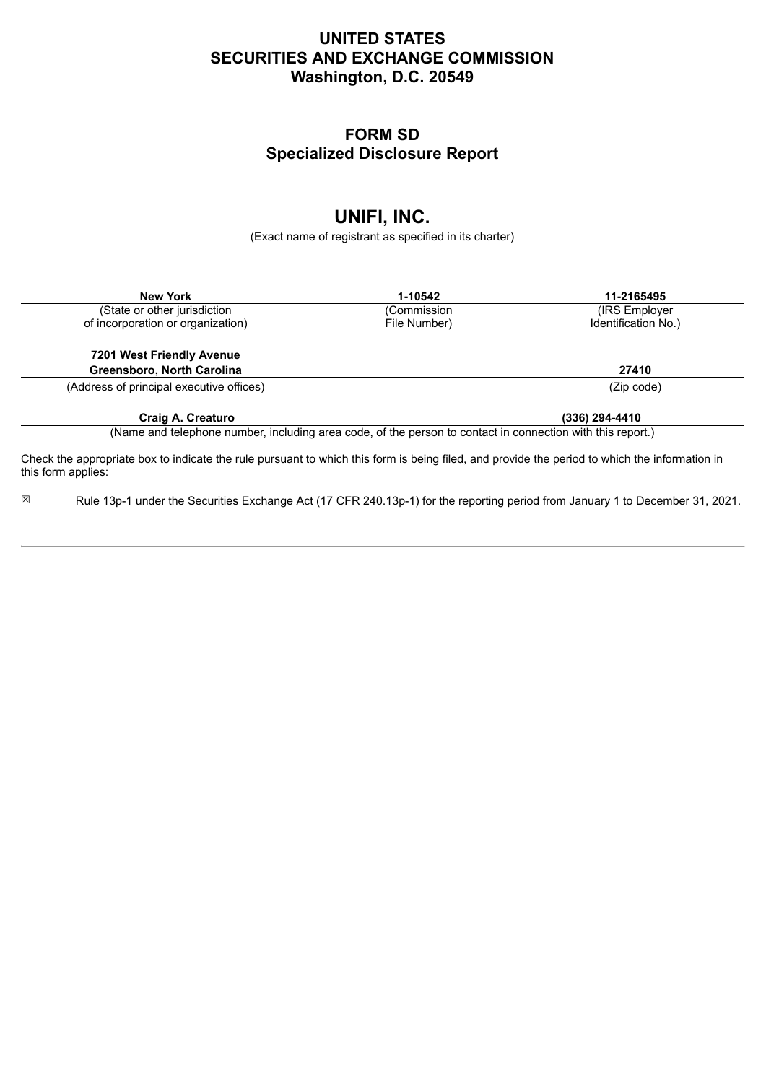# **UNITED STATES SECURITIES AND EXCHANGE COMMISSION Washington, D.C. 20549**

## **FORM SD Specialized Disclosure Report**

# **UNIFI, INC.**

(Exact name of registrant as specified in its charter)

| <b>New York</b>                                                                                                                                                     | 1-10542      | 11-2165495          |
|---------------------------------------------------------------------------------------------------------------------------------------------------------------------|--------------|---------------------|
| (State or other jurisdiction                                                                                                                                        | (Commission  | (IRS Employer)      |
| of incorporation or organization)                                                                                                                                   | File Number) | Identification No.) |
| 7201 West Friendly Avenue                                                                                                                                           |              |                     |
| Greensboro, North Carolina                                                                                                                                          |              | 27410               |
| (Address of principal executive offices)                                                                                                                            |              | (Zip code)          |
| Craig A. Creaturo                                                                                                                                                   |              | (336) 294-4410      |
| (Name and telephone number, including area code, of the person to contact in connection with this report.)                                                          |              |                     |
| Check the appropriate box to indicate the rule pursuant to which this form is being filed, and provide the period to which the information in<br>this form applies: |              |                     |

☒ Rule 13p-1 under the Securities Exchange Act (17 CFR 240.13p-1) for the reporting period from January 1 to December 31, 2021.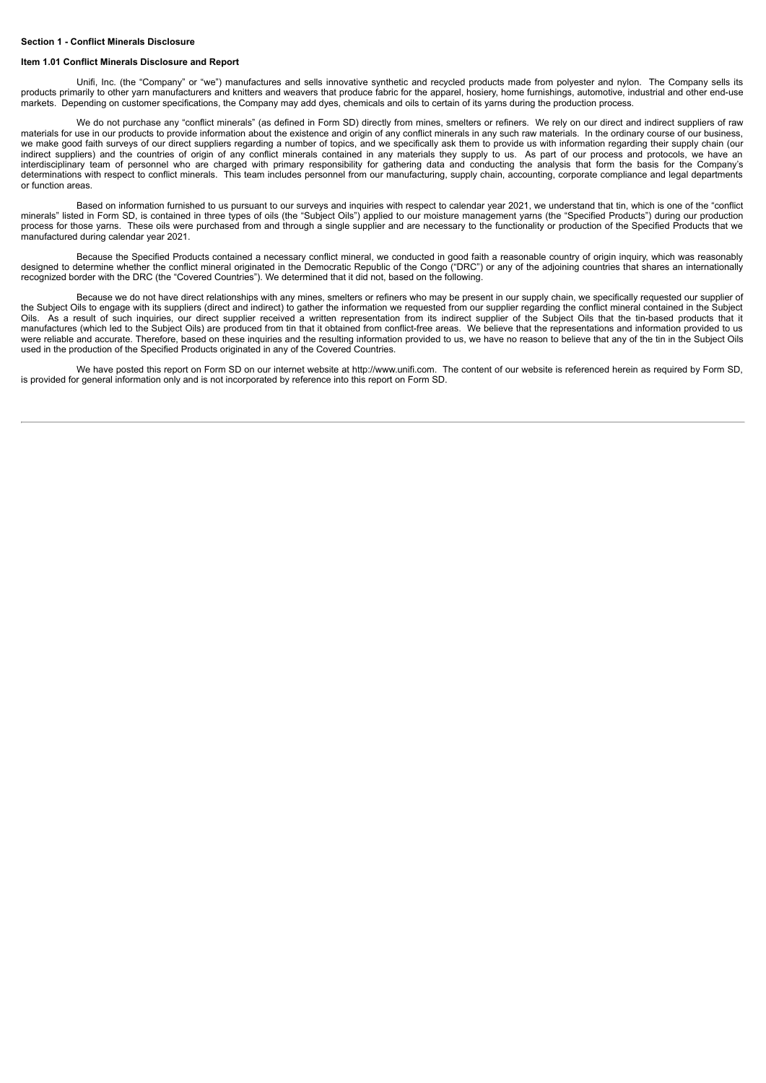#### **Section 1 - Conflict Minerals Disclosure**

#### **Item 1.01 Conflict Minerals Disclosure and Report**

Unifi, Inc. (the "Company" or "we") manufactures and sells innovative synthetic and recycled products made from polyester and nylon. The Company sells its products primarily to other yarn manufacturers and knitters and weavers that produce fabric for the apparel, hosiery, home furnishings, automotive, industrial and other end-use markets. Depending on customer specifications, the Company may add dyes, chemicals and oils to certain of its yarns during the production process.

We do not purchase any "conflict minerals" (as defined in Form SD) directly from mines, smelters or refiners. We rely on our direct and indirect suppliers of raw materials for use in our products to provide information about the existence and origin of any conflict minerals in any such raw materials. In the ordinary course of our business, we make good faith surveys of our direct suppliers regarding a number of topics, and we specifically ask them to provide us with information regarding their supply chain (our indirect suppliers) and the countries of origin of any conflict minerals contained in any materials they supply to us. As part of our process and protocols, we have an interdisciplinary team of personnel who are charged with primary responsibility for gathering data and conducting the analysis that form the basis for the Company's determinations with respect to conflict minerals. This team includes personnel from our manufacturing, supply chain, accounting, corporate compliance and legal departments or function areas.

Based on information furnished to us pursuant to our surveys and inquiries with respect to calendar year 2021, we understand that tin, which is one of the "conflict minerals" listed in Form SD, is contained in three types of oils (the "Subject Oils") applied to our moisture management yarns (the "Specified Products") during our production process for those yarns. These oils were purchased from and through a single supplier and are necessary to the functionality or production of the Specified Products that we manufactured during calendar year 2021.

Because the Specified Products contained a necessary conflict mineral, we conducted in good faith a reasonable country of origin inquiry, which was reasonably designed to determine whether the conflict mineral originated in the Democratic Republic of the Congo ("DRC") or any of the adjoining countries that shares an internationally recognized border with the DRC (the "Covered Countries"). We determined that it did not, based on the following.

Because we do not have direct relationships with any mines, smelters or refiners who may be present in our supply chain, we specifically requested our supplier of the Subject Oils to engage with its suppliers (direct and indirect) to gather the information we requested from our supplier regarding the conflict mineral contained in the Subject Oils. As a result of such inquiries, our direct supplier received a written representation from its indirect supplier of the Subject Oils that the tin-based products that it manufactures (which led to the Subject Oils) are produced from tin that it obtained from conflict-free areas. We believe that the representations and information provided to us were reliable and accurate. Therefore, based on these inquiries and the resulting information provided to us, we have no reason to believe that any of the tin in the Subject Oils used in the production of the Specified Products originated in any of the Covered Countries.

We have posted this report on Form SD on our internet website at http://www.unifi.com. The content of our website is referenced herein as required by Form SD, is provided for general information only and is not incorporated by reference into this report on Form SD.